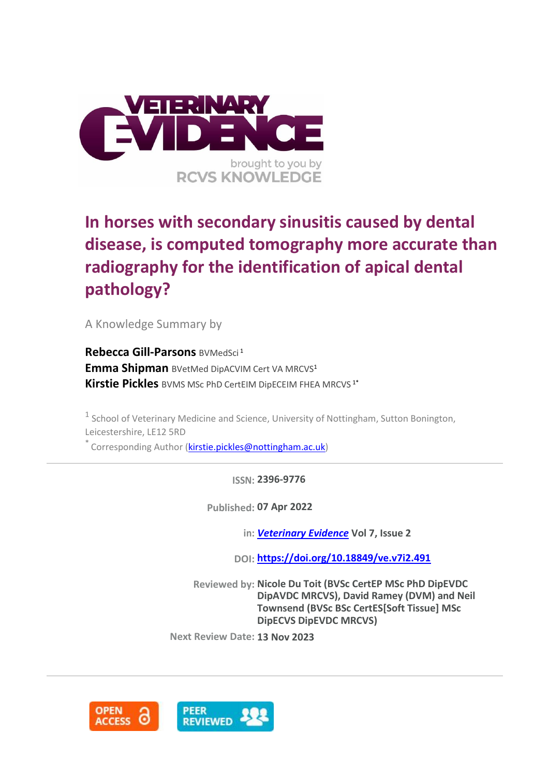

# **In horses with secondary sinusitis caused by dental disease, is computed tomography more accurate than radiography for the identification of apical dental pathology?**

A Knowledge Summary by

**Rebecca Gill-Parsons** BVMedSci <sup>1</sup> **Emma Shipman** BVetMed DipACVIM Cert VA MRCVS<sup>1</sup> **Kirstie Pickles** BVMS MSc PhD CertEIM DipECEIM FHEA MRCVS 1\*

<sup>1</sup> School of Veterinary Medicine and Science, University of Nottingham, Sutton Bonington, Leicestershire, LE12 5RD

Corresponding Author [\(kirstie.pickles@nottingham.ac.uk\)](kirstie.pickles@nottingham.ac.uk)

**ISSN: 2396-9776**

**Published: 07 Apr 2022**

**in:** *[Veterinary Evidence](https://veterinaryevidence.org/index.php/ve)* **Vol 7, Issue 2**

**DOI: <https://doi.org/10.18849/ve.v7i2.491>**

**Reviewed by: Nicole Du Toit (BVSc CertEP MSc PhD DipEVDC DipAVDC MRCVS), David Ramey (DVM) and Neil Townsend (BVSc BSc CertES[Soft Tissue] MSc DipECVS DipEVDC MRCVS)**

**Next Review Date: 13 Nov 2023**

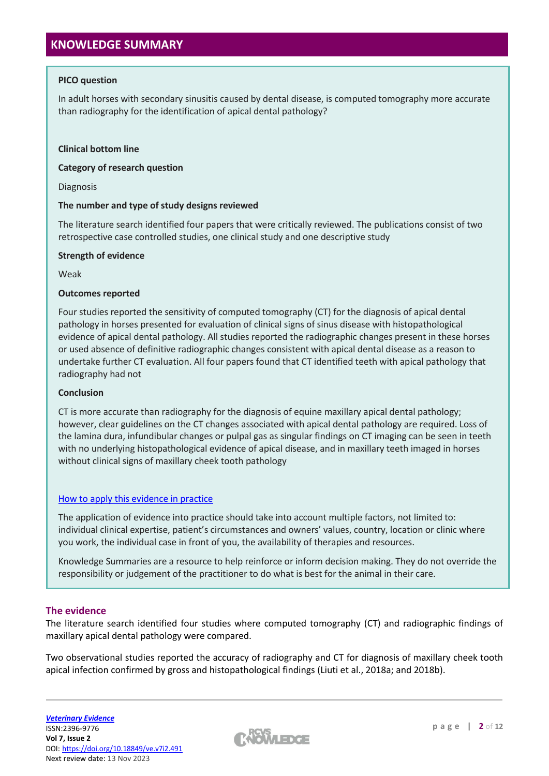#### **PICO question**

In adult horses with secondary sinusitis caused by dental disease, is computed tomography more accurate than radiography for the identification of apical dental pathology?

#### **Clinical bottom line**

#### **Category of research question**

Diagnosis

#### **The number and type of study designs reviewed**

The literature search identified four papers that were critically reviewed. The publications consist of two retrospective case controlled studies, one clinical study and one descriptive study

#### **Strength of evidence**

Weak

#### **Outcomes reported**

Four studies reported the sensitivity of computed tomography (CT) for the diagnosis of apical dental pathology in horses presented for evaluation of clinical signs of sinus disease with histopathological evidence of apical dental pathology. All studies reported the radiographic changes present in these horses or used absence of definitive radiographic changes consistent with apical dental disease as a reason to undertake further CT evaluation. All four papers found that CT identified teeth with apical pathology that radiography had not

#### **Conclusion**

CT is more accurate than radiography for the diagnosis of equine maxillary apical dental pathology; however, clear guidelines on the CT changes associated with apical dental pathology are required. Loss of the lamina dura, infundibular changes or pulpal gas as singular findings on CT imaging can be seen in teeth with no underlying histopathological evidence of apical disease, and in maxillary teeth imaged in horses without clinical signs of maxillary cheek tooth pathology

#### [How to apply this evidence in practice](https://learn.rcvsknowledge.org/mod/book/view.php?id=50)

The application of evidence into practice should take into account multiple factors, not limited to: individual clinical expertise, patient's circumstances and owners' values, country, location or clinic where you work, the individual case in front of you, the availability of therapies and resources.

Knowledge Summaries are a resource to help reinforce or inform decision making. They do not override the responsibility or judgement of the practitioner to do what is best for the animal in their care.

#### **The evidence**

The literature search identified four studies where computed tomography (CT) and radiographic findings of maxillary apical dental pathology were compared.

Two observational studies reported the accuracy of radiography and CT for diagnosis of maxillary cheek tooth apical infection confirmed by gross and histopathological findings (Liuti et al., 2018a; and 2018b).

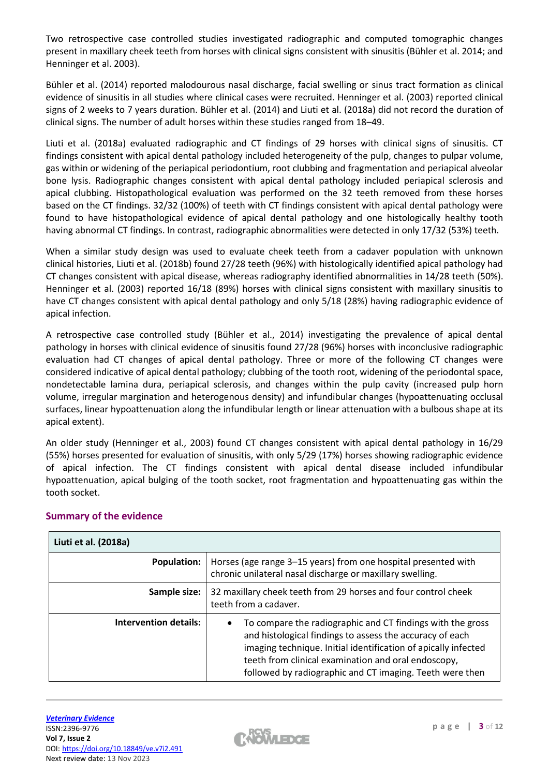Two retrospective case controlled studies investigated radiographic and computed tomographic changes present in maxillary cheek teeth from horses with clinical signs consistent with sinusitis (Bühler et al. 2014; and Henninger et al. 2003).

Bühler et al. (2014) reported malodourous nasal discharge, facial swelling or sinus tract formation as clinical evidence of sinusitis in all studies where clinical cases were recruited. Henninger et al. (2003) reported clinical signs of 2 weeks to 7 years duration. Bühler et al. (2014) and Liuti et al. (2018a) did not record the duration of clinical signs. The number of adult horses within these studies ranged from 18–49.

Liuti et al. (2018a) evaluated radiographic and CT findings of 29 horses with clinical signs of sinusitis. CT findings consistent with apical dental pathology included heterogeneity of the pulp, changes to pulpar volume, gas within or widening of the periapical periodontium, root clubbing and fragmentation and periapical alveolar bone lysis. Radiographic changes consistent with apical dental pathology included periapical sclerosis and apical clubbing. Histopathological evaluation was performed on the 32 teeth removed from these horses based on the CT findings. 32/32 (100%) of teeth with CT findings consistent with apical dental pathology were found to have histopathological evidence of apical dental pathology and one histologically healthy tooth having abnormal CT findings. In contrast, radiographic abnormalities were detected in only 17/32 (53%) teeth.

When a similar study design was used to evaluate cheek teeth from a cadaver population with unknown clinical histories, Liuti et al. (2018b) found 27/28 teeth (96%) with histologically identified apical pathology had CT changes consistent with apical disease, whereas radiography identified abnormalities in 14/28 teeth (50%). Henninger et al. (2003) reported 16/18 (89%) horses with clinical signs consistent with maxillary sinusitis to have CT changes consistent with apical dental pathology and only 5/18 (28%) having radiographic evidence of apical infection.

A retrospective case controlled study (Bühler et al., 2014) investigating the prevalence of apical dental pathology in horses with clinical evidence of sinusitis found 27/28 (96%) horses with inconclusive radiographic evaluation had CT changes of apical dental pathology. Three or more of the following CT changes were considered indicative of apical dental pathology; clubbing of the tooth root, widening of the periodontal space, nondetectable lamina dura, periapical sclerosis, and changes within the pulp cavity (increased pulp horn volume, irregular margination and heterogenous density) and infundibular changes (hypoattenuating occlusal surfaces, linear hypoattenuation along the infundibular length or linear attenuation with a bulbous shape at its apical extent).

An older study (Henninger et al., 2003) found CT changes consistent with apical dental pathology in 16/29 (55%) horses presented for evaluation of sinusitis, with only 5/29 (17%) horses showing radiographic evidence of apical infection. The CT findings consistent with apical dental disease included infundibular hypoattenuation, apical bulging of the tooth socket, root fragmentation and hypoattenuating gas within the tooth socket.

| Liuti et al. (2018a)  |                                                                                                                                                                                                                                                                                                             |  |  |  |
|-----------------------|-------------------------------------------------------------------------------------------------------------------------------------------------------------------------------------------------------------------------------------------------------------------------------------------------------------|--|--|--|
| <b>Population:</b>    | Horses (age range 3-15 years) from one hospital presented with<br>chronic unilateral nasal discharge or maxillary swelling.                                                                                                                                                                                 |  |  |  |
| Sample size:          | 32 maxillary cheek teeth from 29 horses and four control cheek<br>teeth from a cadaver.                                                                                                                                                                                                                     |  |  |  |
| Intervention details: | To compare the radiographic and CT findings with the gross<br>and histological findings to assess the accuracy of each<br>imaging technique. Initial identification of apically infected<br>teeth from clinical examination and oral endoscopy,<br>followed by radiographic and CT imaging. Teeth were then |  |  |  |

### **Summary of the evidence**

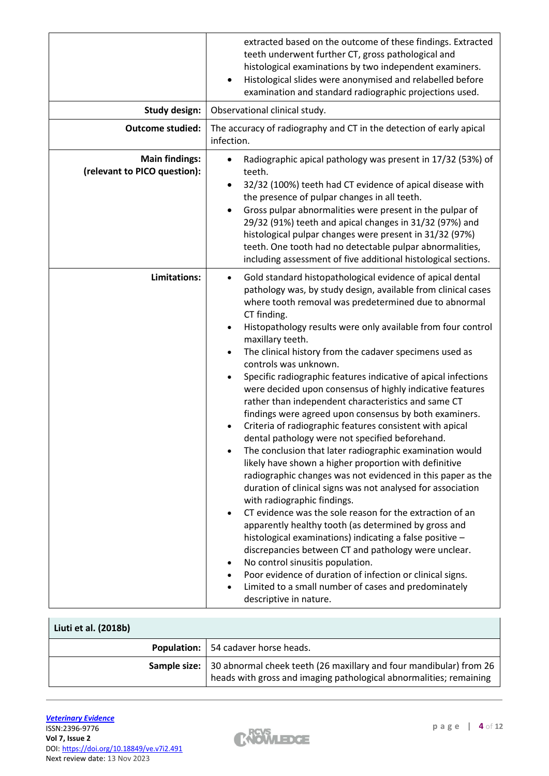|                                                       | extracted based on the outcome of these findings. Extracted<br>teeth underwent further CT, gross pathological and<br>histological examinations by two independent examiners.<br>Histological slides were anonymised and relabelled before<br>$\bullet$<br>examination and standard radiographic projections used.                                                                                                                                                                                                                                                                                                                                                                                                                                                                                                                                                                                                                                                                                                                                                                                                                                                                                                                                                                                                                                                                                                                                                                |  |  |
|-------------------------------------------------------|----------------------------------------------------------------------------------------------------------------------------------------------------------------------------------------------------------------------------------------------------------------------------------------------------------------------------------------------------------------------------------------------------------------------------------------------------------------------------------------------------------------------------------------------------------------------------------------------------------------------------------------------------------------------------------------------------------------------------------------------------------------------------------------------------------------------------------------------------------------------------------------------------------------------------------------------------------------------------------------------------------------------------------------------------------------------------------------------------------------------------------------------------------------------------------------------------------------------------------------------------------------------------------------------------------------------------------------------------------------------------------------------------------------------------------------------------------------------------------|--|--|
| <b>Study design:</b>                                  | Observational clinical study.                                                                                                                                                                                                                                                                                                                                                                                                                                                                                                                                                                                                                                                                                                                                                                                                                                                                                                                                                                                                                                                                                                                                                                                                                                                                                                                                                                                                                                                    |  |  |
| <b>Outcome studied:</b>                               | The accuracy of radiography and CT in the detection of early apical<br>infection.                                                                                                                                                                                                                                                                                                                                                                                                                                                                                                                                                                                                                                                                                                                                                                                                                                                                                                                                                                                                                                                                                                                                                                                                                                                                                                                                                                                                |  |  |
| <b>Main findings:</b><br>(relevant to PICO question): | Radiographic apical pathology was present in 17/32 (53%) of<br>٠<br>teeth.<br>32/32 (100%) teeth had CT evidence of apical disease with<br>$\bullet$<br>the presence of pulpar changes in all teeth.<br>Gross pulpar abnormalities were present in the pulpar of<br>29/32 (91%) teeth and apical changes in 31/32 (97%) and<br>histological pulpar changes were present in 31/32 (97%)<br>teeth. One tooth had no detectable pulpar abnormalities,<br>including assessment of five additional histological sections.                                                                                                                                                                                                                                                                                                                                                                                                                                                                                                                                                                                                                                                                                                                                                                                                                                                                                                                                                             |  |  |
| Limitations:                                          | Gold standard histopathological evidence of apical dental<br>$\bullet$<br>pathology was, by study design, available from clinical cases<br>where tooth removal was predetermined due to abnormal<br>CT finding.<br>Histopathology results were only available from four control<br>$\bullet$<br>maxillary teeth.<br>The clinical history from the cadaver specimens used as<br>controls was unknown.<br>Specific radiographic features indicative of apical infections<br>were decided upon consensus of highly indicative features<br>rather than independent characteristics and same CT<br>findings were agreed upon consensus by both examiners.<br>Criteria of radiographic features consistent with apical<br>dental pathology were not specified beforehand.<br>The conclusion that later radiographic examination would<br>likely have shown a higher proportion with definitive<br>radiographic changes was not evidenced in this paper as the<br>duration of clinical signs was not analysed for association<br>with radiographic findings.<br>CT evidence was the sole reason for the extraction of an<br>apparently healthy tooth (as determined by gross and<br>histological examinations) indicating a false positive -<br>discrepancies between CT and pathology were unclear.<br>No control sinusitis population.<br>Poor evidence of duration of infection or clinical signs.<br>Limited to a small number of cases and predominately<br>descriptive in nature. |  |  |

| Liuti et al. (2018b) |                                                                                                                                                              |  |
|----------------------|--------------------------------------------------------------------------------------------------------------------------------------------------------------|--|
|                      | <b>Population:</b>   54 cadaver horse heads.                                                                                                                 |  |
|                      | <b>Sample size:</b> 30 abnormal cheek teeth (26 maxillary and four mandibular) from 26<br>heads with gross and imaging pathological abnormalities; remaining |  |

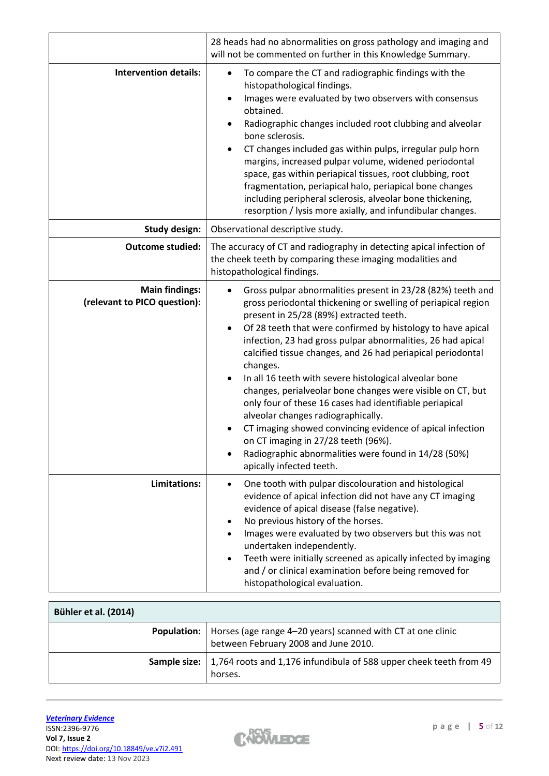|                                                       | 28 heads had no abnormalities on gross pathology and imaging and<br>will not be commented on further in this Knowledge Summary.                                                                                                                                                                                                                                                                                                                                                                                                                                                                                                                                                                                                                                                                                |  |  |
|-------------------------------------------------------|----------------------------------------------------------------------------------------------------------------------------------------------------------------------------------------------------------------------------------------------------------------------------------------------------------------------------------------------------------------------------------------------------------------------------------------------------------------------------------------------------------------------------------------------------------------------------------------------------------------------------------------------------------------------------------------------------------------------------------------------------------------------------------------------------------------|--|--|
| <b>Intervention details:</b>                          | To compare the CT and radiographic findings with the<br>histopathological findings.<br>Images were evaluated by two observers with consensus<br>obtained.<br>Radiographic changes included root clubbing and alveolar<br>bone sclerosis.<br>CT changes included gas within pulps, irregular pulp horn<br>$\bullet$<br>margins, increased pulpar volume, widened periodontal<br>space, gas within periapical tissues, root clubbing, root<br>fragmentation, periapical halo, periapical bone changes<br>including peripheral sclerosis, alveolar bone thickening,<br>resorption / lysis more axially, and infundibular changes.                                                                                                                                                                                 |  |  |
| <b>Study design:</b>                                  | Observational descriptive study.                                                                                                                                                                                                                                                                                                                                                                                                                                                                                                                                                                                                                                                                                                                                                                               |  |  |
| <b>Outcome studied:</b>                               | The accuracy of CT and radiography in detecting apical infection of<br>the cheek teeth by comparing these imaging modalities and<br>histopathological findings.                                                                                                                                                                                                                                                                                                                                                                                                                                                                                                                                                                                                                                                |  |  |
| <b>Main findings:</b><br>(relevant to PICO question): | Gross pulpar abnormalities present in 23/28 (82%) teeth and<br>gross periodontal thickening or swelling of periapical region<br>present in 25/28 (89%) extracted teeth.<br>Of 28 teeth that were confirmed by histology to have apical<br>$\bullet$<br>infection, 23 had gross pulpar abnormalities, 26 had apical<br>calcified tissue changes, and 26 had periapical periodontal<br>changes.<br>In all 16 teeth with severe histological alveolar bone<br>changes, perialveolar bone changes were visible on CT, but<br>only four of these 16 cases had identifiable periapical<br>alveolar changes radiographically.<br>CT imaging showed convincing evidence of apical infection<br>on CT imaging in 27/28 teeth (96%).<br>Radiographic abnormalities were found in 14/28 (50%)<br>apically infected teeth. |  |  |
| Limitations:                                          | One tooth with pulpar discolouration and histological<br>evidence of apical infection did not have any CT imaging<br>evidence of apical disease (false negative).<br>No previous history of the horses.<br>Images were evaluated by two observers but this was not<br>undertaken independently.<br>Teeth were initially screened as apically infected by imaging<br>and / or clinical examination before being removed for<br>histopathological evaluation.                                                                                                                                                                                                                                                                                                                                                    |  |  |

| Bühler et al. (2014) |                                                                                                                          |
|----------------------|--------------------------------------------------------------------------------------------------------------------------|
|                      | <b>Population:</b>   Horses (age range 4–20 years) scanned with CT at one clinic<br>between February 2008 and June 2010. |
|                      | <b>Sample size:</b>   1,764 roots and 1,176 infundibula of 588 upper cheek teeth from 49<br>horses.                      |

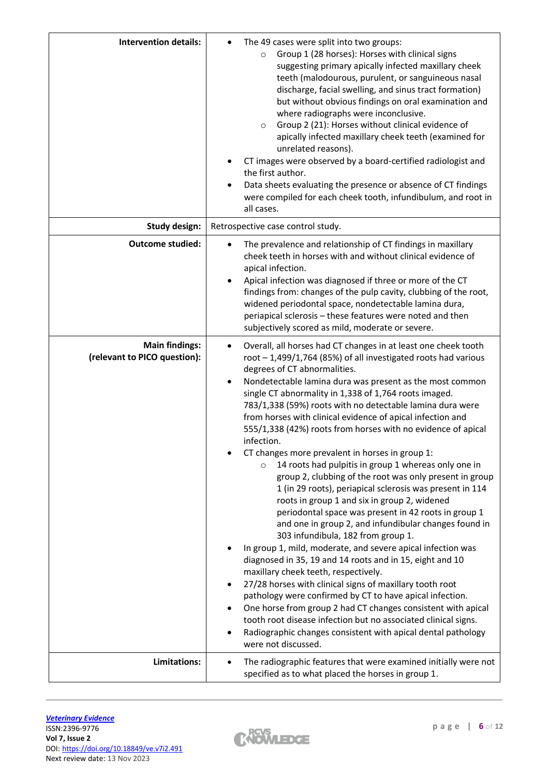| <b>Intervention details:</b>                          | The 49 cases were split into two groups:<br>Group 1 (28 horses): Horses with clinical signs<br>$\circ$<br>suggesting primary apically infected maxillary cheek<br>teeth (malodourous, purulent, or sanguineous nasal<br>discharge, facial swelling, and sinus tract formation)<br>but without obvious findings on oral examination and<br>where radiographs were inconclusive.<br>Group 2 (21): Horses without clinical evidence of<br>$\circ$<br>apically infected maxillary cheek teeth (examined for<br>unrelated reasons).<br>CT images were observed by a board-certified radiologist and<br>the first author.<br>Data sheets evaluating the presence or absence of CT findings<br>were compiled for each cheek tooth, infundibulum, and root in<br>all cases.                                                                                                                                                                                                                                                                                                                                                                                                                                                                                                                                                                                                                                                                                                                               |
|-------------------------------------------------------|---------------------------------------------------------------------------------------------------------------------------------------------------------------------------------------------------------------------------------------------------------------------------------------------------------------------------------------------------------------------------------------------------------------------------------------------------------------------------------------------------------------------------------------------------------------------------------------------------------------------------------------------------------------------------------------------------------------------------------------------------------------------------------------------------------------------------------------------------------------------------------------------------------------------------------------------------------------------------------------------------------------------------------------------------------------------------------------------------------------------------------------------------------------------------------------------------------------------------------------------------------------------------------------------------------------------------------------------------------------------------------------------------------------------------------------------------------------------------------------------------|
| <b>Study design:</b>                                  | Retrospective case control study.                                                                                                                                                                                                                                                                                                                                                                                                                                                                                                                                                                                                                                                                                                                                                                                                                                                                                                                                                                                                                                                                                                                                                                                                                                                                                                                                                                                                                                                                 |
| <b>Outcome studied:</b>                               | The prevalence and relationship of CT findings in maxillary<br>cheek teeth in horses with and without clinical evidence of<br>apical infection.<br>Apical infection was diagnosed if three or more of the CT<br>findings from: changes of the pulp cavity, clubbing of the root,<br>widened periodontal space, nondetectable lamina dura,<br>periapical sclerosis - these features were noted and then<br>subjectively scored as mild, moderate or severe.                                                                                                                                                                                                                                                                                                                                                                                                                                                                                                                                                                                                                                                                                                                                                                                                                                                                                                                                                                                                                                        |
| <b>Main findings:</b><br>(relevant to PICO question): | Overall, all horses had CT changes in at least one cheek tooth<br>$\bullet$<br>root $-1,499/1,764$ (85%) of all investigated roots had various<br>degrees of CT abnormalities.<br>Nondetectable lamina dura was present as the most common<br>$\bullet$<br>single CT abnormality in 1,338 of 1,764 roots imaged.<br>783/1,338 (59%) roots with no detectable lamina dura were<br>from horses with clinical evidence of apical infection and<br>555/1,338 (42%) roots from horses with no evidence of apical<br>infection.<br>CT changes more prevalent in horses in group 1:<br>14 roots had pulpitis in group 1 whereas only one in<br>$\circ$<br>group 2, clubbing of the root was only present in group<br>1 (in 29 roots), periapical sclerosis was present in 114<br>roots in group 1 and six in group 2, widened<br>periodontal space was present in 42 roots in group 1<br>and one in group 2, and infundibular changes found in<br>303 infundibula, 182 from group 1.<br>In group 1, mild, moderate, and severe apical infection was<br>diagnosed in 35, 19 and 14 roots and in 15, eight and 10<br>maxillary cheek teeth, respectively.<br>27/28 horses with clinical signs of maxillary tooth root<br>pathology were confirmed by CT to have apical infection.<br>One horse from group 2 had CT changes consistent with apical<br>tooth root disease infection but no associated clinical signs.<br>Radiographic changes consistent with apical dental pathology<br>were not discussed. |
| Limitations:                                          | The radiographic features that were examined initially were not<br>specified as to what placed the horses in group 1.                                                                                                                                                                                                                                                                                                                                                                                                                                                                                                                                                                                                                                                                                                                                                                                                                                                                                                                                                                                                                                                                                                                                                                                                                                                                                                                                                                             |

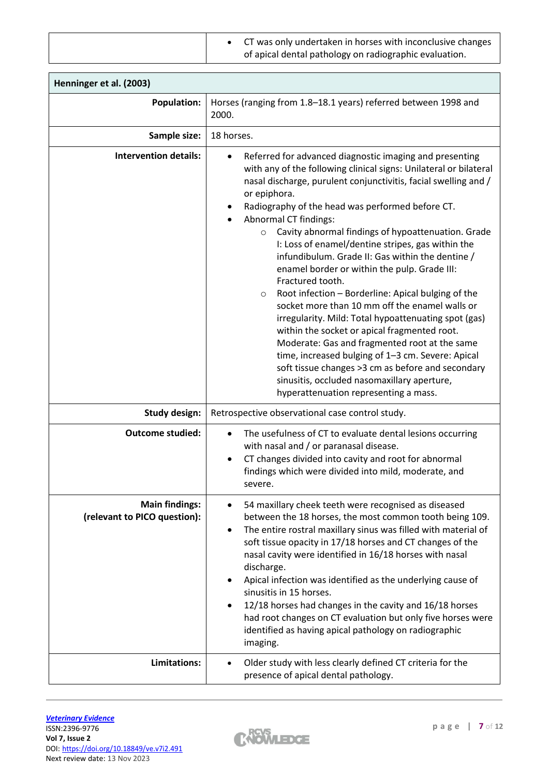| Henninger et al. (2003)                               |                                                                                                                                                                                                                                                                                                                                                                                                                                                                                                                                                                                                                                                                                                                                                                                                                                                                                                                                                                                                                                       |  |  |  |
|-------------------------------------------------------|---------------------------------------------------------------------------------------------------------------------------------------------------------------------------------------------------------------------------------------------------------------------------------------------------------------------------------------------------------------------------------------------------------------------------------------------------------------------------------------------------------------------------------------------------------------------------------------------------------------------------------------------------------------------------------------------------------------------------------------------------------------------------------------------------------------------------------------------------------------------------------------------------------------------------------------------------------------------------------------------------------------------------------------|--|--|--|
| <b>Population:</b>                                    | Horses (ranging from 1.8-18.1 years) referred between 1998 and<br>2000.                                                                                                                                                                                                                                                                                                                                                                                                                                                                                                                                                                                                                                                                                                                                                                                                                                                                                                                                                               |  |  |  |
| Sample size:                                          | 18 horses.                                                                                                                                                                                                                                                                                                                                                                                                                                                                                                                                                                                                                                                                                                                                                                                                                                                                                                                                                                                                                            |  |  |  |
| <b>Intervention details:</b>                          | Referred for advanced diagnostic imaging and presenting<br>$\bullet$<br>with any of the following clinical signs: Unilateral or bilateral<br>nasal discharge, purulent conjunctivitis, facial swelling and /<br>or epiphora.<br>Radiography of the head was performed before CT.<br>Abnormal CT findings:<br>Cavity abnormal findings of hypoattenuation. Grade<br>$\circ$<br>I: Loss of enamel/dentine stripes, gas within the<br>infundibulum. Grade II: Gas within the dentine /<br>enamel border or within the pulp. Grade III:<br>Fractured tooth.<br>Root infection - Borderline: Apical bulging of the<br>$\circ$<br>socket more than 10 mm off the enamel walls or<br>irregularity. Mild: Total hypoattenuating spot (gas)<br>within the socket or apical fragmented root.<br>Moderate: Gas and fragmented root at the same<br>time, increased bulging of 1-3 cm. Severe: Apical<br>soft tissue changes >3 cm as before and secondary<br>sinusitis, occluded nasomaxillary aperture,<br>hyperattenuation representing a mass. |  |  |  |
| <b>Study design:</b>                                  | Retrospective observational case control study.                                                                                                                                                                                                                                                                                                                                                                                                                                                                                                                                                                                                                                                                                                                                                                                                                                                                                                                                                                                       |  |  |  |
| <b>Outcome studied:</b>                               | The usefulness of CT to evaluate dental lesions occurring<br>$\bullet$<br>with nasal and / or paranasal disease.<br>CT changes divided into cavity and root for abnormal<br>$\bullet$<br>findings which were divided into mild, moderate, and<br>severe.                                                                                                                                                                                                                                                                                                                                                                                                                                                                                                                                                                                                                                                                                                                                                                              |  |  |  |
| <b>Main findings:</b><br>(relevant to PICO question): | 54 maxillary cheek teeth were recognised as diseased<br>between the 18 horses, the most common tooth being 109.<br>The entire rostral maxillary sinus was filled with material of<br>٠<br>soft tissue opacity in 17/18 horses and CT changes of the<br>nasal cavity were identified in 16/18 horses with nasal<br>discharge.<br>Apical infection was identified as the underlying cause of<br>sinusitis in 15 horses.<br>12/18 horses had changes in the cavity and 16/18 horses<br>had root changes on CT evaluation but only five horses were<br>identified as having apical pathology on radiographic<br>imaging.                                                                                                                                                                                                                                                                                                                                                                                                                  |  |  |  |
| Limitations:                                          | Older study with less clearly defined CT criteria for the<br>presence of apical dental pathology.                                                                                                                                                                                                                                                                                                                                                                                                                                                                                                                                                                                                                                                                                                                                                                                                                                                                                                                                     |  |  |  |

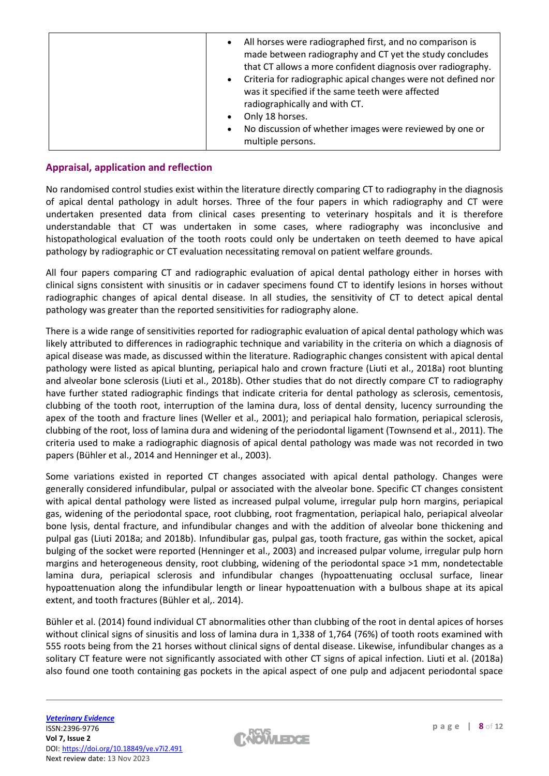| All horses were radiographed first, and no comparison is<br>made between radiography and CT yet the study concludes<br>that CT allows a more confident diagnosis over radiography.<br>Criteria for radiographic apical changes were not defined nor<br>$\bullet$<br>was it specified if the same teeth were affected<br>radiographically and with CT.<br>Only 18 horses. |
|--------------------------------------------------------------------------------------------------------------------------------------------------------------------------------------------------------------------------------------------------------------------------------------------------------------------------------------------------------------------------|
| No discussion of whether images were reviewed by one or<br>$\bullet$                                                                                                                                                                                                                                                                                                     |
| multiple persons.                                                                                                                                                                                                                                                                                                                                                        |

#### **Appraisal, application and reflection**

No randomised control studies exist within the literature directly comparing CT to radiography in the diagnosis of apical dental pathology in adult horses. Three of the four papers in which radiography and CT were undertaken presented data from clinical cases presenting to veterinary hospitals and it is therefore understandable that CT was undertaken in some cases, where radiography was inconclusive and histopathological evaluation of the tooth roots could only be undertaken on teeth deemed to have apical pathology by radiographic or CT evaluation necessitating removal on patient welfare grounds.

All four papers comparing CT and radiographic evaluation of apical dental pathology either in horses with clinical signs consistent with sinusitis or in cadaver specimens found CT to identify lesions in horses without radiographic changes of apical dental disease. In all studies, the sensitivity of CT to detect apical dental pathology was greater than the reported sensitivities for radiography alone.

There is a wide range of sensitivities reported for radiographic evaluation of apical dental pathology which was likely attributed to differences in radiographic technique and variability in the criteria on which a diagnosis of apical disease was made, as discussed within the literature. Radiographic changes consistent with apical dental pathology were listed as apical blunting, periapical halo and crown fracture (Liuti et al., 2018a) root blunting and alveolar bone sclerosis (Liuti et al., 2018b). Other studies that do not directly compare CT to radiography have further stated radiographic findings that indicate criteria for dental pathology as sclerosis, cementosis, clubbing of the tooth root, interruption of the lamina dura, loss of dental density, lucency surrounding the apex of the tooth and fracture lines (Weller et al., 2001); and periapical halo formation, periapical sclerosis, clubbing of the root, loss of lamina dura and widening of the periodontal ligament (Townsend et al., 2011). The criteria used to make a radiographic diagnosis of apical dental pathology was made was not recorded in two papers (Bühler et al., 2014 and Henninger et al., 2003).

Some variations existed in reported CT changes associated with apical dental pathology. Changes were generally considered infundibular, pulpal or associated with the alveolar bone. Specific CT changes consistent with apical dental pathology were listed as increased pulpal volume, irregular pulp horn margins, periapical gas, widening of the periodontal space, root clubbing, root fragmentation, periapical halo, periapical alveolar bone lysis, dental fracture, and infundibular changes and with the addition of alveolar bone thickening and pulpal gas (Liuti 2018a; and 2018b). Infundibular gas, pulpal gas, tooth fracture, gas within the socket, apical bulging of the socket were reported (Henninger et al., 2003) and increased pulpar volume, irregular pulp horn margins and heterogeneous density, root clubbing, widening of the periodontal space >1 mm, nondetectable lamina dura, periapical sclerosis and infundibular changes (hypoattenuating occlusal surface, linear hypoattenuation along the infundibular length or linear hypoattenuation with a bulbous shape at its apical extent, and tooth fractures (Bühler et al,. 2014).

Bühler et al. (2014) found individual CT abnormalities other than clubbing of the root in dental apices of horses without clinical signs of sinusitis and loss of lamina dura in 1,338 of 1,764 (76%) of tooth roots examined with 555 roots being from the 21 horses without clinical signs of dental disease. Likewise, infundibular changes as a solitary CT feature were not significantly associated with other CT signs of apical infection. Liuti et al. (2018a) also found one tooth containing gas pockets in the apical aspect of one pulp and adjacent periodontal space

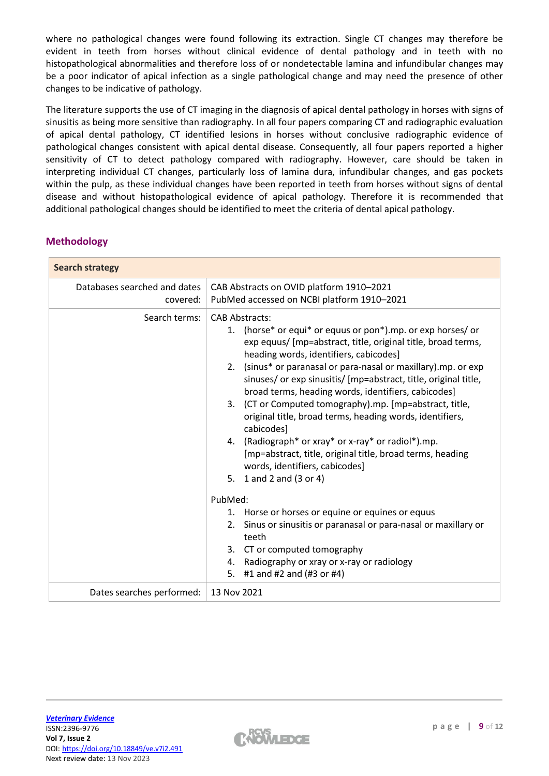where no pathological changes were found following its extraction. Single CT changes may therefore be evident in teeth from horses without clinical evidence of dental pathology and in teeth with no histopathological abnormalities and therefore loss of or nondetectable lamina and infundibular changes may be a poor indicator of apical infection as a single pathological change and may need the presence of other changes to be indicative of pathology.

The literature supports the use of CT imaging in the diagnosis of apical dental pathology in horses with signs of sinusitis as being more sensitive than radiography. In all four papers comparing CT and radiographic evaluation of apical dental pathology, CT identified lesions in horses without conclusive radiographic evidence of pathological changes consistent with apical dental disease. Consequently, all four papers reported a higher sensitivity of CT to detect pathology compared with radiography. However, care should be taken in interpreting individual CT changes, particularly loss of lamina dura, infundibular changes, and gas pockets within the pulp, as these individual changes have been reported in teeth from horses without signs of dental disease and without histopathological evidence of apical pathology. Therefore it is recommended that additional pathological changes should be identified to meet the criteria of dental apical pathology.

# **Methodology**

| <b>Search strategy</b>       |                                                                                                                                                                                                                                                                                                                                                                                                                                                                                                                                                                                                                                                                                                                 |  |  |  |
|------------------------------|-----------------------------------------------------------------------------------------------------------------------------------------------------------------------------------------------------------------------------------------------------------------------------------------------------------------------------------------------------------------------------------------------------------------------------------------------------------------------------------------------------------------------------------------------------------------------------------------------------------------------------------------------------------------------------------------------------------------|--|--|--|
| Databases searched and dates | CAB Abstracts on OVID platform 1910-2021                                                                                                                                                                                                                                                                                                                                                                                                                                                                                                                                                                                                                                                                        |  |  |  |
| covered:                     | PubMed accessed on NCBI platform 1910-2021                                                                                                                                                                                                                                                                                                                                                                                                                                                                                                                                                                                                                                                                      |  |  |  |
| Search terms:                | <b>CAB Abstracts:</b><br>1. (horse* or equi* or equus or pon*).mp. or exp horses/ or<br>exp equus/ [mp=abstract, title, original title, broad terms,<br>heading words, identifiers, cabicodes]<br>2. (sinus* or paranasal or para-nasal or maxillary).mp. or exp<br>sinuses/ or exp sinusitis/ [mp=abstract, title, original title,<br>broad terms, heading words, identifiers, cabicodes]<br>3. (CT or Computed tomography).mp. [mp=abstract, title,<br>original title, broad terms, heading words, identifiers,<br>cabicodes]<br>4. (Radiograph* or xray* or x-ray* or radiol*).mp.<br>[mp=abstract, title, original title, broad terms, heading<br>words, identifiers, cabicodes]<br>5. 1 and 2 and (3 or 4) |  |  |  |
|                              | PubMed:                                                                                                                                                                                                                                                                                                                                                                                                                                                                                                                                                                                                                                                                                                         |  |  |  |
|                              | 1. Horse or horses or equine or equines or equus                                                                                                                                                                                                                                                                                                                                                                                                                                                                                                                                                                                                                                                                |  |  |  |
|                              | Sinus or sinusitis or paranasal or para-nasal or maxillary or<br>2.<br>teeth                                                                                                                                                                                                                                                                                                                                                                                                                                                                                                                                                                                                                                    |  |  |  |
|                              | 3. CT or computed tomography                                                                                                                                                                                                                                                                                                                                                                                                                                                                                                                                                                                                                                                                                    |  |  |  |
|                              | Radiography or xray or x-ray or radiology<br>4.                                                                                                                                                                                                                                                                                                                                                                                                                                                                                                                                                                                                                                                                 |  |  |  |
|                              | #1 and #2 and (#3 or #4)<br>5.                                                                                                                                                                                                                                                                                                                                                                                                                                                                                                                                                                                                                                                                                  |  |  |  |
| Dates searches performed:    | 13 Nov 2021                                                                                                                                                                                                                                                                                                                                                                                                                                                                                                                                                                                                                                                                                                     |  |  |  |

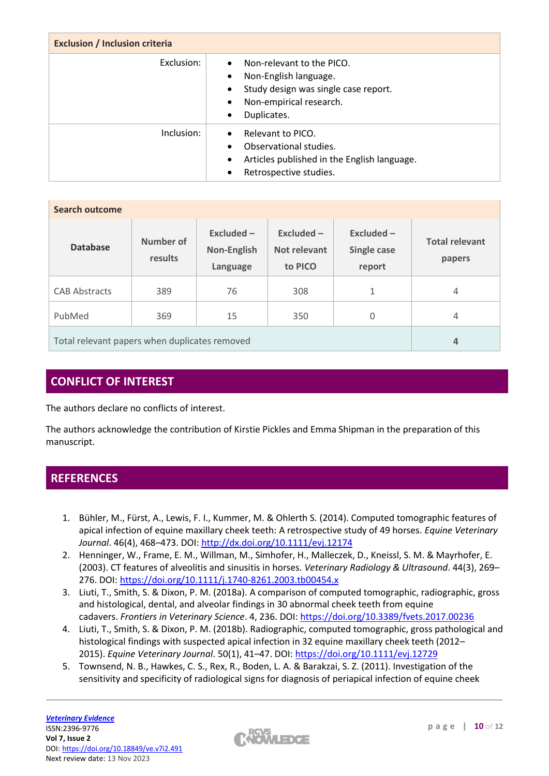| <b>Exclusion / Inclusion criteria</b> |                                                                                                                                                                                  |  |  |
|---------------------------------------|----------------------------------------------------------------------------------------------------------------------------------------------------------------------------------|--|--|
| Exclusion:                            | Non-relevant to the PICO.<br>Non-English language.<br>$\bullet$<br>Study design was single case report.<br>$\bullet$<br>Non-empirical research.<br>$\bullet$<br>Duplicates.<br>٠ |  |  |
| Inclusion:                            | Relevant to PICO.<br>$\bullet$<br>Observational studies.<br>Articles published in the English language.<br>$\bullet$<br>Retrospective studies.<br>٠                              |  |  |

| <b>Search outcome</b>                         |                      |                                             |                                         |                                              |                                 |
|-----------------------------------------------|----------------------|---------------------------------------------|-----------------------------------------|----------------------------------------------|---------------------------------|
| <b>Database</b>                               | Number of<br>results | Excluded-<br><b>Non-English</b><br>Language | $Excluded -$<br>Not relevant<br>to PICO | $Excluded -$<br><b>Single case</b><br>report | <b>Total relevant</b><br>papers |
| <b>CAB Abstracts</b>                          | 389                  | 76                                          | 308                                     | 1                                            | $\overline{4}$                  |
| PubMed                                        | 369                  | 15                                          | 350                                     | 0                                            | $\overline{4}$                  |
| Total relevant papers when duplicates removed |                      |                                             |                                         | 4                                            |                                 |

# **CONFLICT OF INTEREST**

The authors declare no conflicts of interest.

The authors acknowledge the contribution of Kirstie Pickles and Emma Shipman in the preparation of this manuscript.

## **REFERENCES**

- 1. Bühler, M., Fürst, A., Lewis, F. I., Kummer, M. & Ohlerth S*.* (2014). Computed tomographic features of apical infection of equine maxillary cheek teeth: A retrospective study of 49 horses. *Equine Veterinary Journal*. 46(4), 468–473. DOI: <http://dx.doi.org/10.1111/evj.12174>
- 2. Henninger, W., Frame, E. M., Willman, M., Simhofer, H., Malleczek, D., Kneissl, S. M. & Mayrhofer, E. (2003). CT features of alveolitis and sinusitis in horses. *Veterinary Radiology & Ultrasound*. 44(3), 269– 276. DOI: <https://doi.org/10.1111/j.1740-8261.2003.tb00454.x>
- 3. Liuti, T., Smith, S. & Dixon, P. M. (2018a). A comparison of computed tomographic, radiographic, gross and histological, dental, and alveolar findings in 30 abnormal cheek teeth from equine cadavers. *Frontiers in Veterinary Science*. 4, 236. DOI: <https://doi.org/10.3389/fvets.2017.00236>
- 4. Liuti, T., Smith, S. & Dixon, P. M. (2018b). Radiographic, computed tomographic, gross pathological and histological findings with suspected apical infection in 32 equine maxillary cheek teeth (2012– 2015). *Equine Veterinary Journal*. 50(1), 41–47. DOI: <https://doi.org/10.1111/evj.12729>
- 5. Townsend, N. B., Hawkes, C. S., Rex, R., Boden, L. A. & Barakzai, S. Z. (2011). Investigation of the sensitivity and specificity of radiological signs for diagnosis of periapical infection of equine cheek

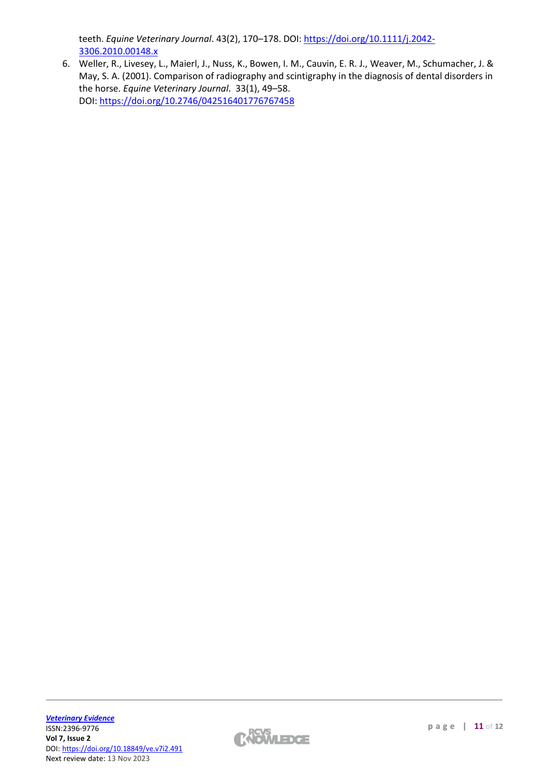teeth. *Equine Veterinary Journal*. 43(2), 170–178. DOI: [https://doi.org/10.1111/j.2042-](https://doi.org/10.1111/j.2042-3306.2010.00148.x) [3306.2010.00148.x](https://doi.org/10.1111/j.2042-3306.2010.00148.x)

6. Weller, R., Livesey, L., Maierl, J., Nuss, K., Bowen, I. M., Cauvin, E. R. J., Weaver, M., Schumacher, J. & May, S. A. (2001). Comparison of radiography and scintigraphy in the diagnosis of dental disorders in the horse. *Equine Veterinary Journal*. 33(1), 49–58. DOI: <https://doi.org/10.2746/042516401776767458>